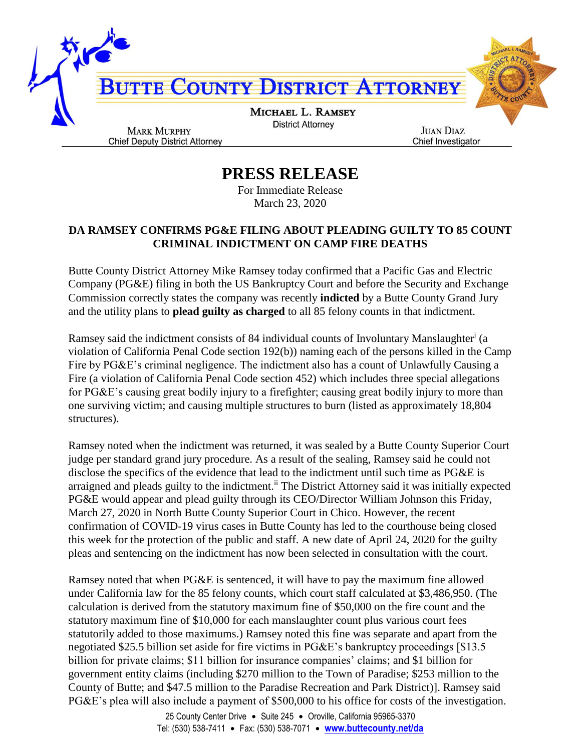

**PRESS RELEASE**

For Immediate Release March 23, 2020

## **DA RAMSEY CONFIRMS PG&E FILING ABOUT PLEADING GUILTY TO 85 COUNT CRIMINAL INDICTMENT ON CAMP FIRE DEATHS**

Butte County District Attorney Mike Ramsey today confirmed that a Pacific Gas and Electric Company (PG&E) filing in both the US Bankruptcy Court and before the Security and Exchange Commission correctly states the company was recently **indicted** by a Butte County Grand Jury and the utility plans to **plead guilty as charged** to all 85 felony counts in that indictment.

Ramsey said the indictment consists of 84 individual counts of Involuntary Manslaughter<sup>i</sup> (a violation of California Penal Code section 192(b)) naming each of the persons killed in the Camp Fire by PG&E's criminal negligence. The indictment also has a count of Unlawfully Causing a Fire (a violation of California Penal Code section 452) which includes three special allegations for PG&E's causing great bodily injury to a firefighter; causing great bodily injury to more than one surviving victim; and causing multiple structures to burn (listed as approximately 18,804 structures).

Ramsey noted when the indictment was returned, it was sealed by a Butte County Superior Court judge per standard grand jury procedure. As a result of the sealing, Ramsey said he could not disclose the specifics of the evidence that lead to the indictment until such time as PG&E is arraigned and pleads guilty to the indictment.<sup>ii</sup> The District Attorney said it was initially expected PG&E would appear and plead guilty through its CEO/Director William Johnson this Friday, March 27, 2020 in North Butte County Superior Court in Chico. However, the recent confirmation of COVID-19 virus cases in Butte County has led to the courthouse being closed this week for the protection of the public and staff. A new date of April 24, 2020 for the guilty pleas and sentencing on the indictment has now been selected in consultation with the court.

Ramsey noted that when PG&E is sentenced, it will have to pay the maximum fine allowed under California law for the 85 felony counts, which court staff calculated at \$3,486,950. (The calculation is derived from the statutory maximum fine of \$50,000 on the fire count and the statutory maximum fine of \$10,000 for each manslaughter count plus various court fees statutorily added to those maximums.) Ramsey noted this fine was separate and apart from the negotiated \$25.5 billion set aside for fire victims in PG&E's bankruptcy proceedings [\$13.5 billion for private claims; \$11 billion for insurance companies' claims; and \$1 billion for government entity claims (including \$270 million to the Town of Paradise; \$253 million to the County of Butte; and \$47.5 million to the Paradise Recreation and Park District)]. Ramsey said PG&E's plea will also include a payment of \$500,000 to his office for costs of the investigation.

> 25 County Center Drive · Suite 245 · Oroville, California 95965-3370 Tel: (530) 538-7411 • Fax: (530) 538-7071 • www.buttecounty.net/da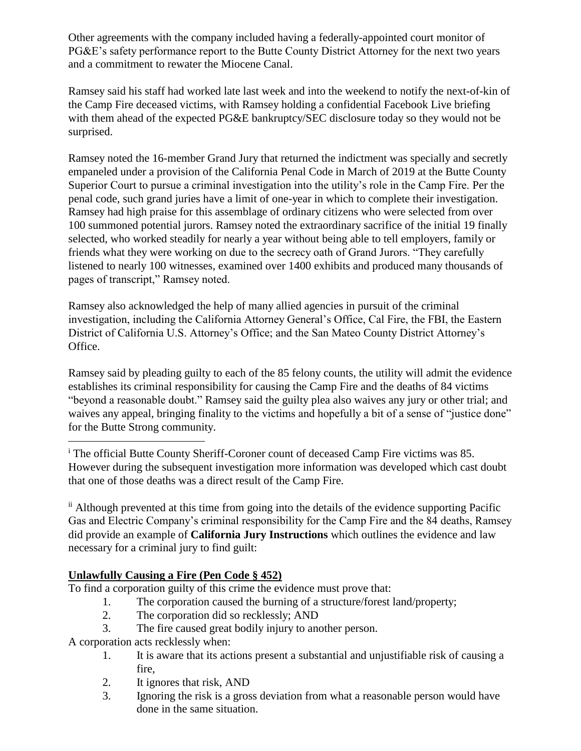Other agreements with the company included having a federally-appointed court monitor of PG&E's safety performance report to the Butte County District Attorney for the next two years and a commitment to rewater the Miocene Canal.

Ramsey said his staff had worked late last week and into the weekend to notify the next-of-kin of the Camp Fire deceased victims, with Ramsey holding a confidential Facebook Live briefing with them ahead of the expected PG&E bankruptcy/SEC disclosure today so they would not be surprised.

Ramsey noted the 16-member Grand Jury that returned the indictment was specially and secretly empaneled under a provision of the California Penal Code in March of 2019 at the Butte County Superior Court to pursue a criminal investigation into the utility's role in the Camp Fire. Per the penal code, such grand juries have a limit of one-year in which to complete their investigation. Ramsey had high praise for this assemblage of ordinary citizens who were selected from over 100 summoned potential jurors. Ramsey noted the extraordinary sacrifice of the initial 19 finally selected, who worked steadily for nearly a year without being able to tell employers, family or friends what they were working on due to the secrecy oath of Grand Jurors. "They carefully listened to nearly 100 witnesses, examined over 1400 exhibits and produced many thousands of pages of transcript," Ramsey noted.

Ramsey also acknowledged the help of many allied agencies in pursuit of the criminal investigation, including the California Attorney General's Office, Cal Fire, the FBI, the Eastern District of California U.S. Attorney's Office; and the San Mateo County District Attorney's Office.

Ramsey said by pleading guilty to each of the 85 felony counts, the utility will admit the evidence establishes its criminal responsibility for causing the Camp Fire and the deaths of 84 victims "beyond a reasonable doubt." Ramsey said the guilty plea also waives any jury or other trial; and waives any appeal, bringing finality to the victims and hopefully a bit of a sense of "justice done" for the Butte Strong community.

<sup>i</sup> The official Butte County Sheriff-Coroner count of deceased Camp Fire victims was 85. However during the subsequent investigation more information was developed which cast doubt that one of those deaths was a direct result of the Camp Fire.

ii Although prevented at this time from going into the details of the evidence supporting Pacific Gas and Electric Company's criminal responsibility for the Camp Fire and the 84 deaths, Ramsey did provide an example of **California Jury Instructions** which outlines the evidence and law necessary for a criminal jury to find guilt:

## **Unlawfully Causing a Fire (Pen Code § 452)**

To find a corporation guilty of this crime the evidence must prove that:

- 1. The corporation caused the burning of a structure/forest land/property;
- 2. The corporation did so recklessly; AND
- 3. The fire caused great bodily injury to another person.

A corporation acts recklessly when:

 $\overline{a}$ 

- 1. It is aware that its actions present a substantial and unjustifiable risk of causing a fire,
- 2. It ignores that risk, AND
- 3. Ignoring the risk is a gross deviation from what a reasonable person would have done in the same situation.